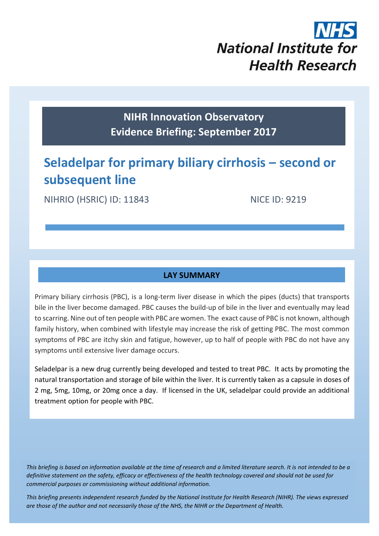# **National Institute for Health Research**

### **NIHR Innovation Observatory Evidence Briefing: September 2017**

## **Seladelpar for primary biliary cirrhosis – second or subsequent line**

NIHRIO (HSRIC) ID: 11843 NICE ID: 9219

#### **LAY SUMMARY**

Primary biliary cirrhosis (PBC), is a long-term liver disease in which the pipes (ducts) that transports bile in the liver become damaged. PBC causes the build-up of bile in the liver and eventually may lead to scarring. Nine out of ten people with PBC are women. The exact cause of PBC is not known, although family history, when combined with lifestyle may increase the risk of getting PBC. The most common symptoms of PBC are itchy skin and fatigue, however, up to half of people with PBC do not have any symptoms until extensive liver damage occurs.

Seladelpar is a new drug currently being developed and tested to treat PBC. It acts by promoting the natural transportation and storage of bile within the liver. It is currently taken as a capsule in doses of 2 mg, 5mg, 10mg, or 20mg once a day. If licensed in the UK, seladelpar could provide an additional treatment option for people with PBC.

*This briefing is based on information available at the time of research and a limited literature search. It is not intended to be a definitive statement on the safety, efficacy or effectiveness of the health technology covered and should not be used for commercial purposes or commissioning without additional information.*

1 *This briefing presents independent research funded by the National Institute for Health Research (NIHR). The views expressed are those of the author and not necessarily those of the NHS, the NIHR or the Department of Health.*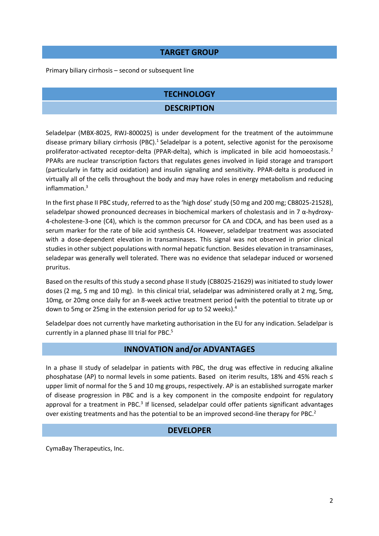#### **TARGET GROUP**

Primary biliary cirrhosis – second or subsequent line

#### **TECHNOLOGY**

#### <span id="page-1-1"></span>**DESCRIPTION**

Seladelpar (MBX-8025, RWJ-800025) is under development for the treatment of the autoimmune disease primary biliary cirrhosis (PBC).<sup>1</sup> Seladelpar is a potent, selective agonist for the peroxisome proliferator-activated receptor-delta (PPAR-delta), which is implicated in bile acid homoeostasis.<sup>2</sup> PPARs are nuclear transcription factors that regulates genes involved in lipid storage and transport (particularly in fatty acid oxidation) and insulin signaling and sensitivity. PPAR-delta is produced in virtually all of the cells throughout the body and may have roles in energy metabolism and reducing inflammation.<sup>3</sup>

<span id="page-1-0"></span>In the first phase II PBC study, referred to as the 'high dose' study (50 mg and 200 mg; CB8025-21528), seladelpar showed pronounced decreases in biochemical markers of cholestasis and in 7 α-hydroxy-4-cholestene-3-one (C4), which is the common precursor for CA and CDCA, and has been used as a serum marker for the rate of bile acid synthesis C4. However, seladelpar treatment was associated with a dose-dependent elevation in transaminases. This signal was not observed in prior clinical studies in other subject populations with normal hepatic function. Besides elevation in transaminases, seladepar was generally well tolerated. There was no evidence that seladepar induced or worsened pruritus.

Based on the results of this study a second phase II study (CB8025-21629) was initiated to study lower doses (2 mg, 5 mg and 10 mg). In this clinical trial, seladelpar was administered orally at 2 mg, 5mg, 10mg, or 20mg once daily for an 8-week active treatment period (with the potential to titrate up or down to 5mg or 25mg in the extension period for up to 52 weeks).<sup>4</sup>

Seladelpar does not currently have marketing authorisation in the EU for any indication. Seladelpar is currently in a planned phase III trial for PBC.<sup>5</sup>

#### <span id="page-1-2"></span>**INNOVATION and/or ADVANTAGES**

In a phase II study of seladelpar in patients with PBC, the drug was effective in reducing alkaline phosphatase (AP) to normal levels in some patients. Based on iterim results, 18% and 45% reach ≤ upper limit of normal for the 5 and 10 mg groups, respectively. AP is an established surrogate marker of disease progression in PBC and is a key component in the composite endpoint for regulatory approval for a treatment in PBC.<sup>[3](#page-1-0)</sup> If licensed, seladelpar could offer patients significant advantages over existing treatments and has the potential to be an improved second-line therapy for PBC.<sup>[2](#page-1-1)</sup>

#### **DEVELOPER**

CymaBay Therapeutics, Inc.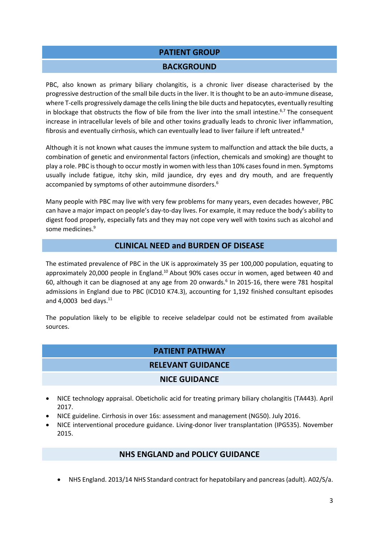#### **PATIENT GROUP**

#### <span id="page-2-0"></span>**BACKGROUND**

PBC, also known as primary biliary cholangitis, is a chronic liver disease characterised by the progressive destruction of the small bile ducts in the liver. It is thought to be an auto-immune disease, where T-cells progressively damage the cells lining the bile ducts and hepatocytes, eventually resulting in blockage that obstructs the flow of bile from the liver into the small intestine.<sup>6,7</sup> The consequent increase in intracellular levels of bile and other toxins gradually leads to chronic liver inflammation, fibrosis and eventually cirrhosis, which can eventually lead to liver failure if left untreated.<sup>8</sup>

Although it is not known what causes the immune system to malfunction and attack the bile ducts, a combination of genetic and environmental factors (infection, chemicals and smoking) are thought to play a role. PBC is though to occur mostly in women with less than 10% cases found in men. Symptoms usually include fatigue, itchy skin, mild jaundice, dry eyes and dry mouth, and are frequently accompanied by symptoms of other autoimmune disorders[.](#page-2-0) 6

Many people with PBC may live with very few problems for many years, even decades however, PBC can have a major impact on people's day-to-day lives. For example, it may reduce the body's ability to digest food properly, especially fats and they may not cope very well with toxins such as alcohol and some medicines. 9

#### **CLINICAL NEED and BURDEN OF DISEASE**

The estimated prevalence of PBC in the UK is approximately 35 per 100,000 population, equating to approximately 20,000 people in England.<sup>10</sup> About 90% cases occur in women, aged between 40 and 60, although it can be diagnosed at any age from 20 onwards. [6](#page-2-0) In 2015-16, there were 781 hospital admissions in England due to PBC (ICD10 K74.3), accounting for 1,192 finished consultant episodes and 4,0003 bed days.<sup>11</sup>

The population likely to be eligible to receive seladelpar could not be estimated from available sources.

#### **PATIENT PATHWAY**

#### **RELEVANT GUIDANCE**

#### **NICE GUIDANCE**

- NICE technology appraisal. Obeticholic acid for treating primary biliary cholangitis (TA443). April 2017.
- NICE guideline. Cirrhosis in over 16s: assessment and management (NG50). July 2016.
- NICE interventional procedure guidance. Living-donor liver transplantation (IPG535). November 2015.

#### **NHS ENGLAND and POLICY GUIDANCE**

NHS England. 2013/14 NHS Standard contract for hepatobilary and pancreas (adult). A02/S/a.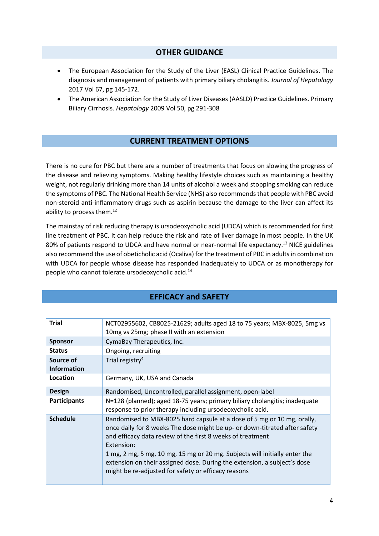#### **OTHER GUIDANCE**

- The European Association for the Study of the Liver (EASL) Clinical Practice Guidelines. The diagnosis and management of patients with primary biliary cholangitis. *Journal of Hepatology* 2017 Vol 67, pg 145-172.
- The American Association for the Study of Liver Diseases (AASLD) Practice Guidelines. Primary Biliary Cirrhosis. *Hepatology* 2009 Vol 50, pg 291-308

#### **CURRENT TREATMENT OPTIONS**

There is no cure for PBC but there are a number of treatments that focus on slowing the progress of the disease and relieving symptoms. Making healthy lifestyle choices such as maintaining a healthy weight, not regularly drinking more than 14 units of alcohol a week and stopping smoking can reduce the symptoms of PBC. The National Health Service (NHS) also recommends that people with PBC avoid non-steroid anti-inflammatory drugs such as aspirin because the damage to the liver can affect its ability to process them.<sup>12</sup>

The mainstay of risk reducing therapy is ursodeoxycholic acid (UDCA) which is recommended for first line treatment of PBC. It can help reduce the risk and rate of liver damage in most people. In the UK 80% of patients respond to UDCA and have normal or near-normal life expectancy.<sup>13</sup> NICE guidelines also recommend the use of obeticholic acid (Ocaliva) for the treatment of PBC in adults in combination with UDCA for people whose disease has responded inadequately to UDCA or as monotherapy for people who cannot tolerate ursodeoxycholic acid.<sup>14</sup>

#### **EFFICACY and SAFETY**

| <b>Trial</b>                    | NCT02955602, CB8025-21629; adults aged 18 to 75 years; MBX-8025, 5mg vs<br>10mg vs 25mg; phase II with an extension                                                                                                                                                                                                                                                                                                                                |  |
|---------------------------------|----------------------------------------------------------------------------------------------------------------------------------------------------------------------------------------------------------------------------------------------------------------------------------------------------------------------------------------------------------------------------------------------------------------------------------------------------|--|
| <b>Sponsor</b>                  | CymaBay Therapeutics, Inc.                                                                                                                                                                                                                                                                                                                                                                                                                         |  |
| <b>Status</b>                   | Ongoing, recruiting                                                                                                                                                                                                                                                                                                                                                                                                                                |  |
| Source of<br><b>Information</b> | Trial registry <sup>4</sup>                                                                                                                                                                                                                                                                                                                                                                                                                        |  |
| Location                        | Germany, UK, USA and Canada                                                                                                                                                                                                                                                                                                                                                                                                                        |  |
| <b>Design</b>                   | Randomised, Uncontrolled, parallel assignment, open-label                                                                                                                                                                                                                                                                                                                                                                                          |  |
| <b>Participants</b>             | N=128 (planned); aged 18-75 years; primary biliary cholangitis; inadequate<br>response to prior therapy including ursodeoxycholic acid.                                                                                                                                                                                                                                                                                                            |  |
| <b>Schedule</b>                 | Randomised to MBX-8025 hard capsule at a dose of 5 mg or 10 mg, orally,<br>once daily for 8 weeks The dose might be up- or down-titrated after safety<br>and efficacy data review of the first 8 weeks of treatment<br>Extension:<br>1 mg, 2 mg, 5 mg, 10 mg, 15 mg or 20 mg. Subjects will initially enter the<br>extension on their assigned dose. During the extension, a subject's dose<br>might be re-adjusted for safety or efficacy reasons |  |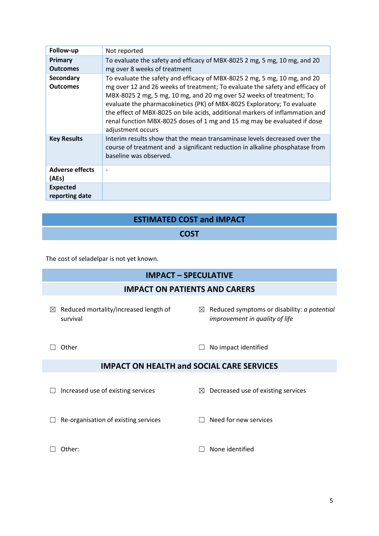| Follow-up                           | Not reported                                                                                                                                                                                                                                                                                                                                                                                                                                                                                  |
|-------------------------------------|-----------------------------------------------------------------------------------------------------------------------------------------------------------------------------------------------------------------------------------------------------------------------------------------------------------------------------------------------------------------------------------------------------------------------------------------------------------------------------------------------|
| Primary<br><b>Outcomes</b>          | To evaluate the safety and efficacy of MBX-8025 2 mg, 5 mg, 10 mg, and 20<br>mg over 8 weeks of treatment                                                                                                                                                                                                                                                                                                                                                                                     |
| <b>Secondary</b><br><b>Outcomes</b> | To evaluate the safety and efficacy of MBX-8025 2 mg, 5 mg, 10 mg, and 20<br>mg over 12 and 26 weeks of treatment; To evaluate the safety and efficacy of<br>MBX-8025 2 mg, 5 mg, 10 mg, and 20 mg over 52 weeks of treatment; To<br>evaluate the pharmacokinetics (PK) of MBX-8025 Exploratory; To evaluate<br>the effect of MBX-8025 on bile acids, additional markers of inflammation and<br>renal function MBX-8025 doses of 1 mg and 15 mg may be evaluated if dose<br>adjustment occurs |
| <b>Key Results</b>                  | Interim results show that the mean transaminase levels decreased over the<br>course of treatment and a significant reduction in alkaline phosphatase from<br>baseline was observed.                                                                                                                                                                                                                                                                                                           |
| <b>Adverse effects</b><br>(AEs)     |                                                                                                                                                                                                                                                                                                                                                                                                                                                                                               |
| <b>Expected</b><br>reporting date   |                                                                                                                                                                                                                                                                                                                                                                                                                                                                                               |

#### **ESTIMATED COST and IMPACT**

#### **COST**

The cost of seladelpar is not yet known.

#### **IMPACT – SPECULATIVE**

#### **IMPACT ON PATIENTS AND CARERS**

- $\boxtimes$  Reduced mortality/increased length of survival
- ☒ Reduced symptoms or disability: *a potential improvement in quality of life*

☐ Other ☐ No impact identified

#### **IMPACT ON HEALTH and SOCIAL CARE SERVICES**

- ☐ Increased use of existing services ☒ Decreased use of existing services
	-
- ☐ Re-organisation of existing services ☐ Need for new services
	-

- 
- ☐ Other: ☐ None identified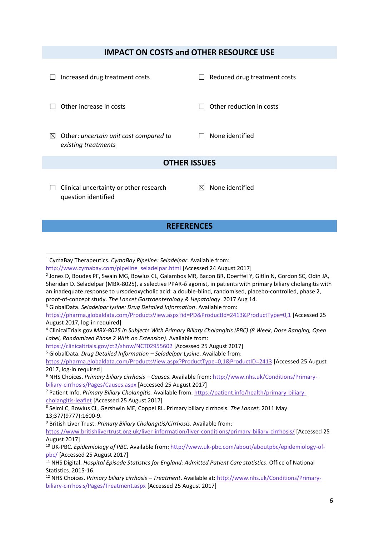#### **IMPACT ON COSTS and OTHER RESOURCE USE**

| <b>REFERENCES</b>                                                            |                              |  |  |  |
|------------------------------------------------------------------------------|------------------------------|--|--|--|
| Clinical uncertainty or other research<br>$\Box$<br>question identified      | None identified<br>$\bowtie$ |  |  |  |
| <b>OTHER ISSUES</b>                                                          |                              |  |  |  |
| Other: uncertain unit cost compared to<br>$\boxtimes$<br>existing treatments | None identified              |  |  |  |
| Other increase in costs                                                      | Other reduction in costs     |  |  |  |
| Increased drug treatment costs                                               | Reduced drug treatment costs |  |  |  |

1

<https://clinicaltrials.gov/ct2/show/NCT02955602> [Accessed 25 August 2017]

<sup>5</sup> GlobalData. *Drug Detailed Information – Seladelpar Lysine*. Available from:

<https://pharma.globaldata.com/ProductsView.aspx?ProductType=0,1&ProductID=2413> [Accessed 25 August 2017, log-in required]

<sup>9</sup> British Liver Trust. *Primary Biliary Cholangitis/Cirrhosis*. Available from:

<sup>1</sup> CymaBay Therapeutics. *CymaBay Pipeline: Seladelpar*. Available from:

[http://www.cymabay.com/pipeline\\_seladelpar.html](http://www.cymabay.com/pipeline_seladelpar.html) [Accessed 24 August 2017]

<sup>2</sup> Jones D, Boudes PF, Swain MG, Bowlus CL, Galambos MR, Bacon BR, Doerffel Y, Gitlin N, Gordon SC, Odin JA, Sheridan D. Seladelpar (MBX-8025), a selective PPAR-δ agonist, in patients with primary biliary cholangitis with an inadequate response to ursodeoxycholic acid: a double-blind, randomised, placebo-controlled, phase 2, proof-of-concept study. *The Lancet Gastroenterology & Hepatology*. 2017 Aug 14.

<sup>3</sup> GlobalData. *Seladelpar lysine: Drug Detailed Information*. Available from:

<https://pharma.globaldata.com/ProductsView.aspx?id=PD&ProductId=2413&ProductType=0,1> [Accessed 25 August 2017, log-in required]

<sup>4</sup> ClinicalTrials.gov *MBX-8025 in Subjects With Primary Biliary Cholangitis (PBC) (8 Week, Dose Ranging, Open Label, Randomized Phase 2 With an Extension)*. Available from:

<sup>6</sup> NHS Choices. *Primary biliary cirrhosis – Causes*. Available from[: http://www.nhs.uk/Conditions/Primary](http://www.nhs.uk/Conditions/Primary-biliary-cirrhosis/Pages/Causes.aspx)[biliary-cirrhosis/Pages/Causes.aspx](http://www.nhs.uk/Conditions/Primary-biliary-cirrhosis/Pages/Causes.aspx) [Accessed 25 August 2017]

<sup>7</sup> Patient Info. *Primary Biliary Cholangitis.* Available from[: https://patient.info/health/primary-biliary](https://patient.info/health/primary-biliary-cholangitis-leaflet)[cholangitis-leaflet](https://patient.info/health/primary-biliary-cholangitis-leaflet) [Accessed 25 August 2017]

<sup>8</sup> Selmi C, Bowlus CL, Gershwin ME, Coppel RL. Primary biliary cirrhosis. *The Lancet*. 2011 May 13;377(9777):1600-9.

<https://www.britishlivertrust.org.uk/liver-information/liver-conditions/primary-biliary-cirrhosis/> [Accessed 25 August 2017]

<sup>10</sup> UK-PBC. *Epidemiology of PBC*. Available from: [http://www.uk-pbc.com/about/aboutpbc/epidemiology-of](http://www.uk-pbc.com/about/aboutpbc/epidemiology-of-pbc/)[pbc/](http://www.uk-pbc.com/about/aboutpbc/epidemiology-of-pbc/) [Accessed 25 August 2017]

<sup>11</sup> NHS Digital. *Hospital Episode Statistics for England: Admitted Patient Care statistics*. Office of National Statistics. 2015-16.

<sup>12</sup> NHS Choices. *Primary biliary cirrhosis – Treatment*. Available at: [http://www.nhs.uk/Conditions/Primary](http://www.nhs.uk/Conditions/Primary-biliary-cirrhosis/Pages/Treatment.aspx)[biliary-cirrhosis/Pages/Treatment.aspx](http://www.nhs.uk/Conditions/Primary-biliary-cirrhosis/Pages/Treatment.aspx) [Accessed 25 August 2017]